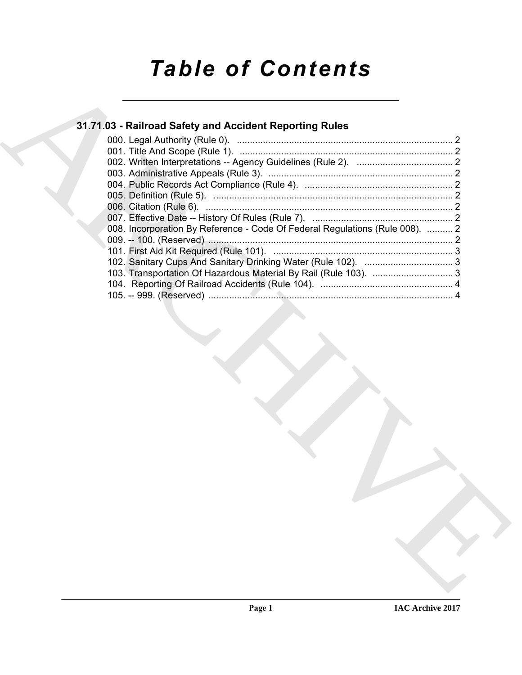# *Table of Contents*

### **31.71.03 - Railroad Safety and Accident Reporting Rules**

| 31.71.03 - Railroad Safety and Accident Reporting Rules                      |  |
|------------------------------------------------------------------------------|--|
|                                                                              |  |
|                                                                              |  |
|                                                                              |  |
|                                                                              |  |
|                                                                              |  |
|                                                                              |  |
|                                                                              |  |
| 008. Incorporation By Reference - Code Of Federal Regulations (Rule 008).  2 |  |
|                                                                              |  |
|                                                                              |  |
|                                                                              |  |
| 103. Transportation Of Hazardous Material By Rail (Rule 103).  3             |  |
|                                                                              |  |
|                                                                              |  |
|                                                                              |  |
|                                                                              |  |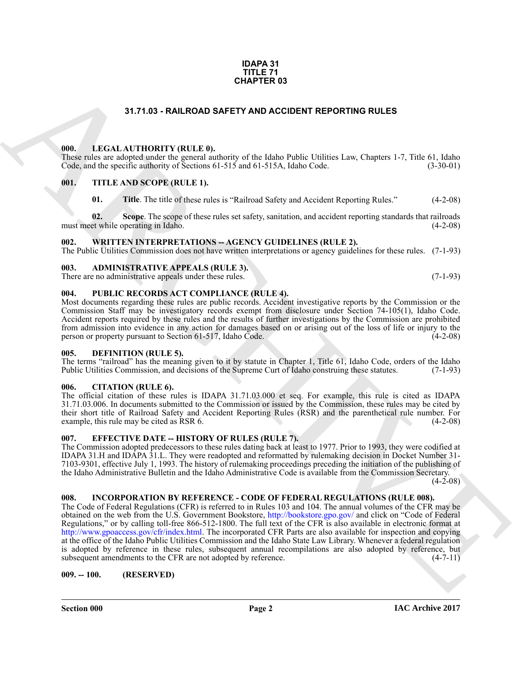#### **IDAPA 31 TITLE 71 CHAPTER 03**

#### **31.71.03 - RAILROAD SAFETY AND ACCIDENT REPORTING RULES**

#### <span id="page-1-1"></span><span id="page-1-0"></span>**000. LEGAL AUTHORITY (RULE 0).**

These rules are adopted under the general authority of the Idaho Public Utilities Law, Chapters 1-7, Title 61, Idaho Code, and the specific authority of Sections 61-515 and 61-515A, Idaho Code. (3-30-01)

#### <span id="page-1-2"></span>**001. TITLE AND SCOPE (RULE 1).**

**01.** Title. The title of these rules is "Railroad Safety and Accident Reporting Rules." (4-2-08)

**02.** Scope. The scope of these rules set safety, sanitation, and accident reporting standards that railroads et while operating in Idaho. (4-2-08) must meet while operating in Idaho.

#### <span id="page-1-3"></span>**002. WRITTEN INTERPRETATIONS -- AGENCY GUIDELINES (RULE 2).**

The Public Utilities Commission does not have written interpretations or agency guidelines for these rules. (7-1-93)

#### <span id="page-1-4"></span>**003. ADMINISTRATIVE APPEALS (RULE 3).** There are no administrative appeals under these rules. (7-1-93)

#### <span id="page-1-5"></span>**004. PUBLIC RECORDS ACT COMPLIANCE (RULE 4).**

Most documents regarding these rules are public records. Accident investigative reports by the Commission or the Commission Staff may be investigatory records exempt from disclosure under Section 74-105(1), Idaho Code. Accident reports required by these rules and the results of further investigations by the Commission are prohibited from admission into evidence in any action for damages based on or arising out of the loss of life or injury to the person or property pursuant to Section 61-517, Idaho Code. (4-2-08) person or property pursuant to Section  $61-517$ , Idaho Code.

#### <span id="page-1-11"></span><span id="page-1-6"></span>**005. DEFINITION (RULE 5).**

The terms "railroad" has the meaning given to it by statute in Chapter 1, Title 61, Idaho Code, orders of the Idaho Public Utilities Commission, and decisions of the Supreme Curt of Idaho construing these statutes. (7-1-93)

#### <span id="page-1-7"></span>**006. CITATION (RULE 6).**

The official citation of these rules is IDAPA 31.71.03.000 et seq. For example, this rule is cited as IDAPA 31.71.03.006. In documents submitted to the Commission or issued by the Commission, these rules may be cited by their short title of Railroad Safety and Accident Reporting Rules (RSR) and the parenthetical rule number. For<br>example, this rule may be cited as RSR 6. (4-2-08) example, this rule may be cited as RSR 6.

#### <span id="page-1-8"></span>**007. EFFECTIVE DATE -- HISTORY OF RULES (RULE 7).**

The Commission adopted predecessors to these rules dating back at least to 1977. Prior to 1993, they were codified at IDAPA 31.H and IDAPA 31.L. They were readopted and reformatted by rulemaking decision in Docket Number 31- 7103-9301, effective July 1, 1993. The history of rulemaking proceedings preceding the initiation of the publishing of the Idaho Administrative Bulletin and the Idaho Administrative Code is available from the Commission Secretary.

 $(4-2-08)$ 

#### <span id="page-1-9"></span>**008. INCORPORATION BY REFERENCE - CODE OF FEDERAL REGULATIONS (RULE 008).**

**SHATER OS**<br> **CHAPTER OS**<br> **CHAPTER OS**<br> **CHAPTER OS**<br> **CHAPTER OS**<br> **CHAPTER OS SECONDO SEPTY AND ACCIDENT REPORTING RULES**<br>
CONSIDER TOWARD CONTINUES TO THE AND SCOPE (RET.R. F.)<br> **CHAPTER OS SECONDO SECONDO SECONDO SEC** The Code of Federal Regulations (CFR) is referred to in Rules 103 and 104. The annual volumes of the CFR may be obtained on the web from the U.S. Government Bookstore, http://bookstore.gpo.gov/ and click on "Code of Federal Regulations," or by calling toll-free 866-512-1800. The full text of the CFR is also available in electronic format at http://www.gpoaccess.gov/cfr/index.html. The incorporated CFR Parts are also available for inspection and copying at the office of the Idaho Public Utilities Commission and the Idaho State Law Library. Whenever a federal regulation is adopted by reference in these rules, subsequent annual recompilations are also adopted by reference, but subsequent amendments to the CFR are not adopted by reference. (4-7-11) subsequent amendments to the CFR are not adopted by reference.

#### <span id="page-1-10"></span>**009. -- 100. (RESERVED)**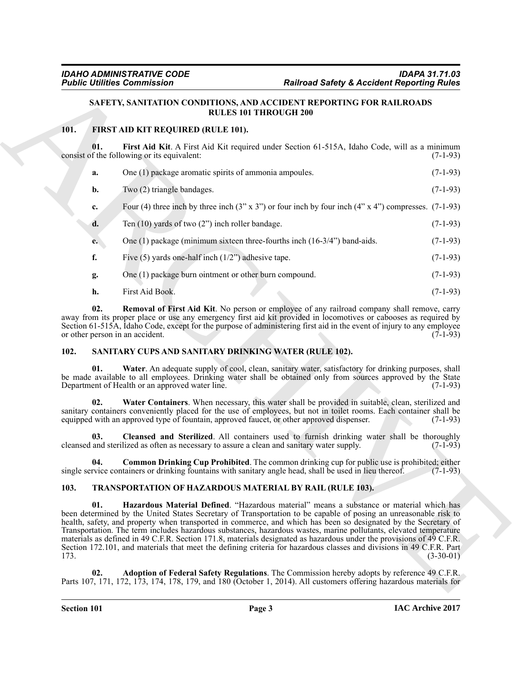#### <span id="page-2-6"></span><span id="page-2-4"></span><span id="page-2-3"></span>**SAFETY, SANITATION CONDITIONS, AND ACCIDENT REPORTING FOR RAILROADS RULES 101 THROUGH 200**

#### <span id="page-2-0"></span>**101. FIRST AID KIT REQUIRED (RULE 101).**

|      | <b>Public Utilities Commission</b>                                                                                                                                                                                                                                                                                                                                                                                                                                                                                                                                                                              | <b>Railroad Safety &amp; Accident Reporting Rules</b>                                                                    |             |
|------|-----------------------------------------------------------------------------------------------------------------------------------------------------------------------------------------------------------------------------------------------------------------------------------------------------------------------------------------------------------------------------------------------------------------------------------------------------------------------------------------------------------------------------------------------------------------------------------------------------------------|--------------------------------------------------------------------------------------------------------------------------|-------------|
|      | SAFETY, SANITATION CONDITIONS, AND ACCIDENT REPORTING FOR RAILROADS                                                                                                                                                                                                                                                                                                                                                                                                                                                                                                                                             | <b>RULES 101 THROUGH 200</b>                                                                                             |             |
| 101. | FIRST AID KIT REQUIRED (RULE 101).                                                                                                                                                                                                                                                                                                                                                                                                                                                                                                                                                                              |                                                                                                                          |             |
|      | 01.<br>consist of the following or its equivalent:                                                                                                                                                                                                                                                                                                                                                                                                                                                                                                                                                              | First Aid Kit. A First Aid Kit required under Section 61-515A, Idaho Code, will as a minimum                             | $(7-1-93)$  |
|      | One (1) package aromatic spirits of ammonia ampoules.<br>a.                                                                                                                                                                                                                                                                                                                                                                                                                                                                                                                                                     |                                                                                                                          | $(7-1-93)$  |
|      | Two (2) triangle bandages.<br>b.                                                                                                                                                                                                                                                                                                                                                                                                                                                                                                                                                                                |                                                                                                                          | $(7-1-93)$  |
|      | c.                                                                                                                                                                                                                                                                                                                                                                                                                                                                                                                                                                                                              | Four (4) three inch by three inch $(3'' \times 3'')$ or four inch by four inch $(4'' \times 4'')$ compresses. $(7-1-93)$ |             |
|      | Ten $(10)$ yards of two $(2")$ inch roller bandage.<br>d.                                                                                                                                                                                                                                                                                                                                                                                                                                                                                                                                                       |                                                                                                                          | $(7-1-93)$  |
|      | e.                                                                                                                                                                                                                                                                                                                                                                                                                                                                                                                                                                                                              | One $(1)$ package (minimum sixteen three-fourths inch $(16-3/4)$ ) band-aids.                                            | $(7-1-93)$  |
| f.   | Five $(5)$ yards one-half inch $(1/2)$ adhesive tape.                                                                                                                                                                                                                                                                                                                                                                                                                                                                                                                                                           |                                                                                                                          | $(7-1-93)$  |
|      | One (1) package burn ointment or other burn compound.<br>g.                                                                                                                                                                                                                                                                                                                                                                                                                                                                                                                                                     |                                                                                                                          | $(7-1-93)$  |
|      | First Aid Book.<br>h.                                                                                                                                                                                                                                                                                                                                                                                                                                                                                                                                                                                           |                                                                                                                          | $(7-1-93)$  |
|      | 02.<br>away from its proper place or use any emergency first aid kit provided in locomotives or cabooses as required by<br>Section 61-515A, Idaho Code, except for the purpose of administering first aid in the event of injury to any employee<br>or other person in an accident.                                                                                                                                                                                                                                                                                                                             | Removal of First Aid Kit. No person or employee of any railroad company shall remove, carry                              | $(7-1-93)$  |
| 102. | SANITARY CUPS AND SANITARY DRINKING WATER (RULE 102).                                                                                                                                                                                                                                                                                                                                                                                                                                                                                                                                                           |                                                                                                                          |             |
|      | 01.<br>be made available to all employees. Drinking water shall be obtained only from sources approved by the State<br>Department of Health or an approved water line.                                                                                                                                                                                                                                                                                                                                                                                                                                          | Water. An adequate supply of cool, clean, sanitary water, satisfactory for drinking purposes, shall                      | $(7-1-93)$  |
|      | 02.<br>sanitary containers conveniently placed for the use of employees, but not in toilet rooms. Each container shall be<br>equipped with an approved type of fountain, approved faucet, or other approved dispenser.                                                                                                                                                                                                                                                                                                                                                                                          | Water Containers. When necessary, this water shall be provided in suitable, clean, sterilized and                        | $(7-1-93)$  |
|      | 03.<br>cleansed and sterilized as often as necessary to assure a clean and sanitary water supply.                                                                                                                                                                                                                                                                                                                                                                                                                                                                                                               | Cleansed and Sterilized. All containers used to furnish drinking water shall be thoroughly                               | $(7-1-93)$  |
|      | 04.<br>single service containers or drinking fountains with sanitary angle head, shall be used in lieu thereof.                                                                                                                                                                                                                                                                                                                                                                                                                                                                                                 | Common Drinking Cup Prohibited. The common drinking cup for public use is prohibited; either                             | $(7-1-93)$  |
| 103. | <b>TRANSPORTATION OF HAZARDOUS MATERIAL BY RAIL (RULE 103).</b>                                                                                                                                                                                                                                                                                                                                                                                                                                                                                                                                                 |                                                                                                                          |             |
| 173. | 01.<br>been determined by the United States Secretary of Transportation to be capable of posing an unreasonable risk to<br>health, safety, and property when transported in commerce, and which has been so designated by the Secretary of<br>Transportation. The term includes hazardous substances, hazardous wastes, marine pollutants, elevated temperature<br>materials as defined in 49 C.F.R. Section 171.8, materials designated as hazardous under the provisions of 49 C.F.R.<br>Section 172.101, and materials that meet the defining criteria for hazardous classes and divisions in 49 C.F.R. Part | Hazardous Material Defined. "Hazardous material" means a substance or material which has                                 | $(3-30-01)$ |
|      | 02.<br>Parts 107, 171, 172, 173, 174, 178, 179, and 180 (October 1, 2014). All customers offering hazardous materials for                                                                                                                                                                                                                                                                                                                                                                                                                                                                                       | Adoption of Federal Safety Regulations. The Commission hereby adopts by reference 49 C.F.R.                              |             |
|      |                                                                                                                                                                                                                                                                                                                                                                                                                                                                                                                                                                                                                 |                                                                                                                          |             |

#### <span id="page-2-11"></span><span id="page-2-10"></span><span id="page-2-7"></span><span id="page-2-5"></span><span id="page-2-1"></span>**102. SANITARY CUPS AND SANITARY DRINKING WATER (RULE 102).**

#### <span id="page-2-14"></span><span id="page-2-13"></span><span id="page-2-12"></span><span id="page-2-9"></span><span id="page-2-8"></span><span id="page-2-2"></span>**103. TRANSPORTATION OF HAZARDOUS MATERIAL BY RAIL (RULE 103).**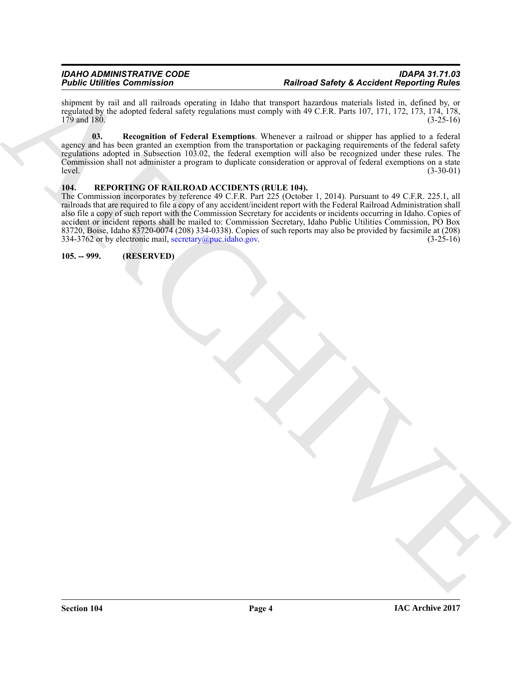shipment by rail and all railroads operating in Idaho that transport hazardous materials listed in, defined by, or regulated by the adopted federal safety regulations must comply with 49 C.F.R. Parts 107, 171, 172, 173, 174, 178, 179 and 180.  $179$  and  $180.$  (3-25-16)

<span id="page-3-3"></span>**03. Recognition of Federal Exemptions**. Whenever a railroad or shipper has applied to a federal agency and has been granted an exemption from the transportation or packaging requirements of the federal safety regulations adopted in Subsection 103.02, the federal exemption will also be recognized under these rules. The Commission shall not administer a program to duplicate consideration or approval of federal exemptions on a state<br>(3-30-01) level. (3-30-01)

#### <span id="page-3-2"></span><span id="page-3-0"></span>**104. REPORTING OF RAILROAD ACCIDENTS (RULE 104).**

Foldiers the commission<br>  $\frac{R}{2}$ <br>  $\frac{R}{2}$ <br>  $\frac{R}{2}$ <br>  $\frac{R}{2}$ <br>  $\frac{R}{2}$ <br>  $\frac{R}{2}$ <br>  $\frac{R}{2}$ <br>  $\frac{R}{2}$ <br>  $\frac{R}{2}$ <br>  $\frac{R}{2}$ <br>  $\frac{R}{2}$ <br>  $\frac{R}{2}$ <br>  $\frac{R}{2}$ <br>  $\frac{R}{2}$ <br>  $\frac{R}{2}$ <br>  $\frac{R}{2}$ <br>  $\frac{R}{2}$ <br>  $\frac{R}{2}$ The Commission incorporates by reference 49 C.F.R. Part 225 (October 1, 2014). Pursuant to 49 C.F.R. 225.1, all railroads that are required to file a copy of any accident/incident report with the Federal Railroad Administration shall also file a copy of such report with the Commission Secretary for accidents or incidents occurring in Idaho. Copies of accident or incident reports shall be mailed to: Commission Secretary, Idaho Public Utilities Commission, PO Box 83720, Boise, Idaho 83720-0074 (208) 334-0338). Copies of such reports may also be provided by facsimile at (208) 334-3762 or by electronic mail, secretary@puc.idaho.gov.  $(3-25-16)$ 334-3762 or by electronic mail, secretary@puc.idaho.gov.

<span id="page-3-1"></span>**105. -- 999. (RESERVED)**